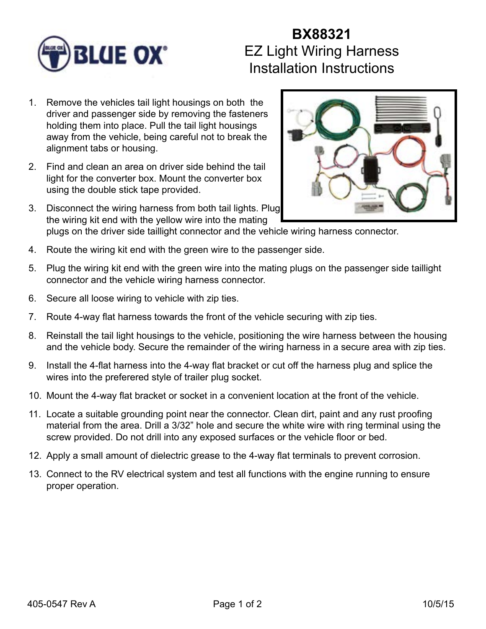

## **BX88321** EZ Light Wiring Harness Installation Instructions

- 1. Remove the vehicles tail light housings on both the driver and passenger side by removing the fasteners holding them into place. Pull the tail light housings away from the vehicle, being careful not to break the alignment tabs or housing.
- 2. Find and clean an area on driver side behind the tail light for the converter box. Mount the converter box using the double stick tape provided.
- 3. Disconnect the wiring harness from both tail lights. Plug the wiring kit end with the yellow wire into the mating plugs on the driver side taillight connector and the vehicle wiring harness connector.
- 4. Route the wiring kit end with the green wire to the passenger side.
- 5. Plug the wiring kit end with the green wire into the mating plugs on the passenger side taillight connector and the vehicle wiring harness connector.
- 6. Secure all loose wiring to vehicle with zip ties.
- 7. Route 4-way flat harness towards the front of the vehicle securing with zip ties.
- 8. Reinstall the tail light housings to the vehicle, positioning the wire harness between the housing and the vehicle body. Secure the remainder of the wiring harness in a secure area with zip ties.
- 9. Install the 4-flat harness into the 4-way flat bracket or cut off the harness plug and splice the wires into the preferered style of trailer plug socket.
- 10. Mount the 4-way flat bracket or socket in a convenient location at the front of the vehicle.
- 11. Locate a suitable grounding point near the connector. Clean dirt, paint and any rust proofing material from the area. Drill a 3/32" hole and secure the white wire with ring terminal using the screw provided. Do not drill into any exposed surfaces or the vehicle floor or bed.
- 12. Apply a small amount of dielectric grease to the 4-way flat terminals to prevent corrosion.
- 13. Connect to the RV electrical system and test all functions with the engine running to ensure proper operation.